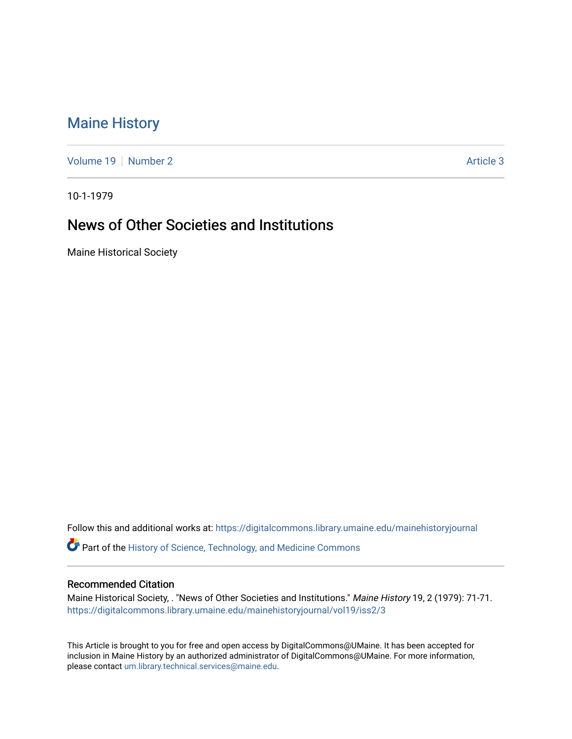## [Maine History](https://digitalcommons.library.umaine.edu/mainehistoryjournal)

[Volume 19](https://digitalcommons.library.umaine.edu/mainehistoryjournal/vol19) [Number 2](https://digitalcommons.library.umaine.edu/mainehistoryjournal/vol19/iss2) Article 3

10-1-1979

## News of Other Societies and Institutions

Maine Historical Society

Follow this and additional works at: [https://digitalcommons.library.umaine.edu/mainehistoryjournal](https://digitalcommons.library.umaine.edu/mainehistoryjournal?utm_source=digitalcommons.library.umaine.edu%2Fmainehistoryjournal%2Fvol19%2Fiss2%2F3&utm_medium=PDF&utm_campaign=PDFCoverPages) 

Part of the [History of Science, Technology, and Medicine Commons](http://network.bepress.com/hgg/discipline/500?utm_source=digitalcommons.library.umaine.edu%2Fmainehistoryjournal%2Fvol19%2Fiss2%2F3&utm_medium=PDF&utm_campaign=PDFCoverPages) 

## Recommended Citation

Maine Historical Society, . "News of Other Societies and Institutions." Maine History 19, 2 (1979): 71-71. [https://digitalcommons.library.umaine.edu/mainehistoryjournal/vol19/iss2/3](https://digitalcommons.library.umaine.edu/mainehistoryjournal/vol19/iss2/3?utm_source=digitalcommons.library.umaine.edu%2Fmainehistoryjournal%2Fvol19%2Fiss2%2F3&utm_medium=PDF&utm_campaign=PDFCoverPages)

This Article is brought to you for free and open access by DigitalCommons@UMaine. It has been accepted for inclusion in Maine History by an authorized administrator of DigitalCommons@UMaine. For more information, please contact [um.library.technical.services@maine.edu.](mailto:um.library.technical.services@maine.edu)